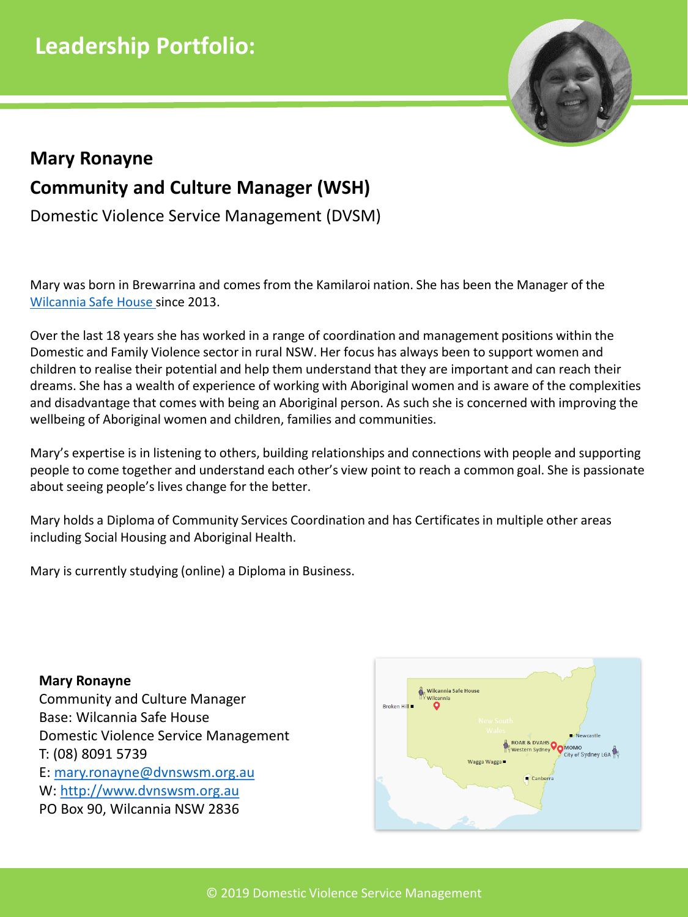

# **Community and Culture Manager (WSH) Mary Ronayne**

Domestic Violence Service Management (DVSM)

Mary was born in Brewarrina and comes from the Kamilaroi nation. She has been the Manager of the [Wilcannia Safe House](https://dvnswsm.org.au/services/wsh/) since 2013.

Over the last 18 years she has worked in a range of coordination and management positions within the Domestic and Family Violence sector in rural NSW. Her focus has always been to support women and children to realise their potential and help them understand that they are important and can reach their dreams. She has a wealth of experience of working with Aboriginal women and is aware of the complexities and disadvantage that comes with being an Aboriginal person. As such she is concerned with improving the wellbeing of Aboriginal women and children, families and communities.

Mary's expertise is in listening to others, building relationships and connections with people and supporting people to come together and understand each other's view point to reach a common goal. She is passionate about seeing people's lives change for the better.

Mary holds a Diploma of Community Services Coordination and has Certificates in multiple other areas including Social Housing and Aboriginal Health.

Mary is currently studying (online) a Diploma in Business.

**Mary Ronayne** Community and Culture Manager Base: Wilcannia Safe House Domestic Violence Service Management T: (08) 8091 5739 E: [mary.ronayne@dvnswsm.org.au](mailto:wshmgr@dvnswsm.org.au) W: [http://www.dvnswsm.org.au](http://www.dvnswsm.org.au/) PO Box 90, Wilcannia NSW 2836

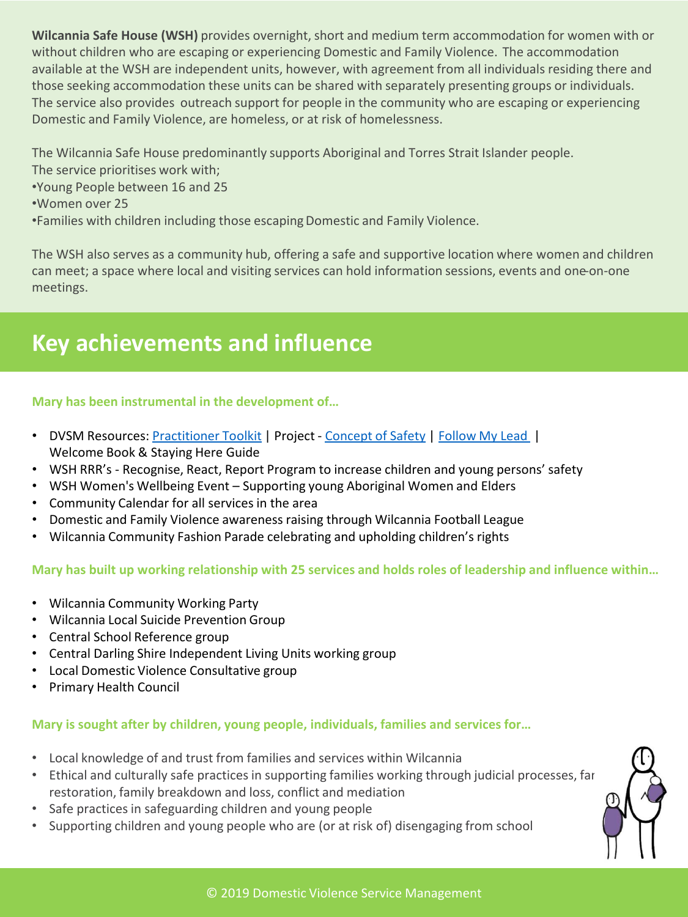**Wilcannia Safe House (WSH)** provides overnight, short and medium term accommodation for women with or without children who are escaping or experiencing Domestic and Family Violence. The accommodation available at the WSH are independent units, however, with agreement from all individuals residing there and those seeking accommodation these units can be shared with separately presenting groups or individuals. The service also provides outreach support for people in the community who are escaping or experiencing Domestic and Family Violence, are homeless, or at risk of homelessness.

The Wilcannia Safe House predominantly supports Aboriginal and Torres Strait Islander people.

- The service prioritises work with;
- •Young People between 16 and 25
- •Women over 25

•Families with children including those escapingDomestic and Family Violence.

The WSH also serves as a community hub, offering a safe and supportive location where women and children can meet; a space where local and visiting services can hold information sessions, events and one-on-one meetings.

# **Key achievements and influence**

### **Mary has been instrumental in the development of…**

- DVSM Resources: [Practitioner Toolkit](http://www.dvnswsm.org.au/our-work/resources/projects-and-initiatives/practitioner-toolkit/) | Project [Concept of Safety](http://www.dvnswsm.org.au/2017/wp-content/uploads/2018/03/Concepts-of-Safety-Report-with-appendix-20.June_.2018-eCopy.pdf) | [Follow My Lead](http://www.insightexchange.net/follow-my-lead/) | Welcome Book & Staying Here Guide
- WSH RRR's Recognise, React, Report Program to increase children and young persons' safety
- WSH Women's Wellbeing Event Supporting young Aboriginal Women and Elders
- Community Calendar for all services in the area
- Domestic and Family Violence awareness raising through Wilcannia Football League
- Wilcannia Community Fashion Parade celebrating and upholding children's rights

### **Mary has built up working relationship with 25 services and holds roles of leadership and influence within…**

- Wilcannia Community Working Party
- Wilcannia Local Suicide Prevention Group
- Central School Reference group
- Central Darling Shire Independent Living Units working group
- Local Domestic Violence Consultative group
- Primary Health Council

### **Mary is sought after by children, young people, individuals, families and services for…**

- Local knowledge of and trust from families and services within Wilcannia
- Ethical and culturally safe practices in supporting families working through judicial processes, far restoration, family breakdown and loss, conflict and mediation
- Safe practices in safeguarding children and young people
- Supporting children and young people who are (or at risk of) disengaging from school